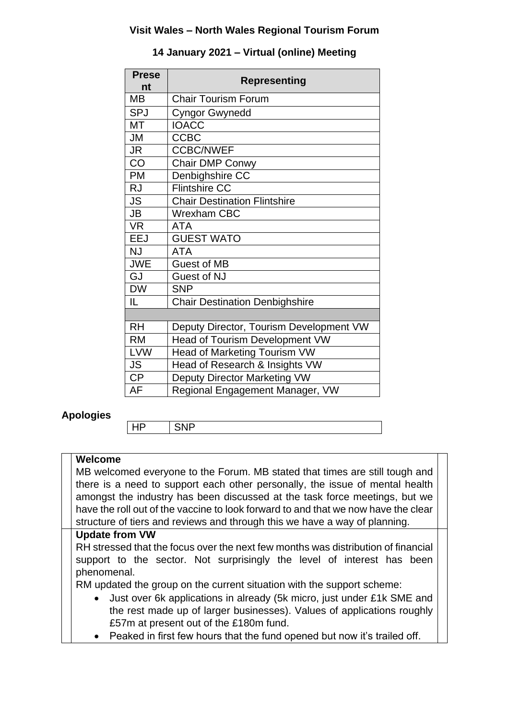#### **Visit Wales – North Wales Regional Tourism Forum**

| <b>Prese</b> | <b>Representing</b>                     |
|--------------|-----------------------------------------|
| nt           |                                         |
| MВ           | <b>Chair Tourism Forum</b>              |
| <b>SPJ</b>   | <b>Cyngor Gwynedd</b>                   |
| MT           | <b>IOACC</b>                            |
| <b>JM</b>    | <b>CCBC</b>                             |
| <b>JR</b>    | <b>CCBC/NWEF</b>                        |
| CO           | Chair DMP Conwy                         |
| <b>PM</b>    | Denbighshire CC                         |
| <b>RJ</b>    | <b>Flintshire CC</b>                    |
| <b>JS</b>    | <b>Chair Destination Flintshire</b>     |
| <b>JB</b>    | <b>Wrexham CBC</b>                      |
| <b>VR</b>    | <b>ATA</b>                              |
| <b>EEJ</b>   | <b>GUEST WATO</b>                       |
| <b>NJ</b>    | <b>ATA</b>                              |
| <b>JWE</b>   | Guest of MB                             |
| GJ           | <b>Guest of NJ</b>                      |
| <b>DW</b>    | <b>SNP</b>                              |
| IL.          | <b>Chair Destination Denbighshire</b>   |
|              |                                         |
| <b>RH</b>    | Deputy Director, Tourism Development VW |
| <b>RM</b>    | Head of Tourism Development VW          |
| <b>LVW</b>   | Head of Marketing Tourism VW            |
| <b>JS</b>    | Head of Research & Insights VW          |
| <b>CP</b>    | Deputy Director Marketing VW            |
| AF           | Regional Engagement Manager, VW         |

### **14 January 2021 – Virtual (online) Meeting**

### **Apologies**

HP SNP

### **Welcome**

MB welcomed everyone to the Forum. MB stated that times are still tough and there is a need to support each other personally, the issue of mental health amongst the industry has been discussed at the task force meetings, but we have the roll out of the vaccine to look forward to and that we now have the clear structure of tiers and reviews and through this we have a way of planning.

#### **Update from VW**

RH stressed that the focus over the next few months was distribution of financial support to the sector. Not surprisingly the level of interest has been phenomenal.

RM updated the group on the current situation with the support scheme:

- Just over 6k applications in already (5k micro, just under £1k SME and the rest made up of larger businesses). Values of applications roughly £57m at present out of the £180m fund.
- Peaked in first few hours that the fund opened but now it's trailed off.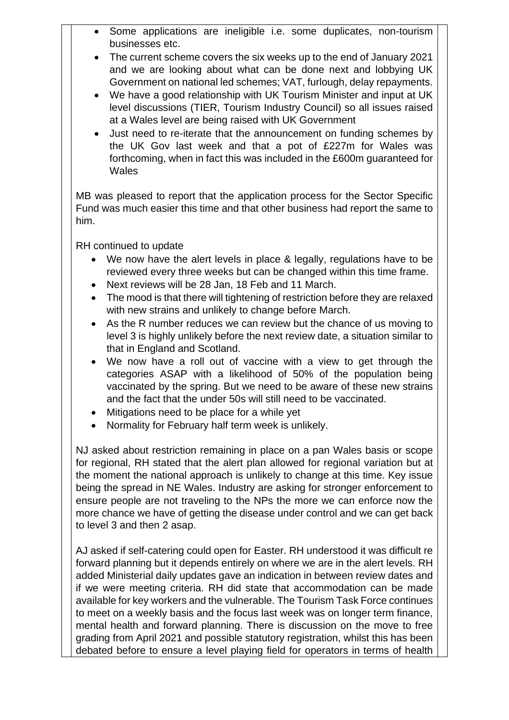- Some applications are ineligible i.e. some duplicates, non-tourism businesses etc.
- The current scheme covers the six weeks up to the end of January 2021 and we are looking about what can be done next and lobbying UK Government on national led schemes; VAT, furlough, delay repayments.
- We have a good relationship with UK Tourism Minister and input at UK level discussions (TIER, Tourism Industry Council) so all issues raised at a Wales level are being raised with UK Government
- Just need to re-iterate that the announcement on funding schemes by the UK Gov last week and that a pot of £227m for Wales was forthcoming, when in fact this was included in the £600m guaranteed for **Wales**

MB was pleased to report that the application process for the Sector Specific Fund was much easier this time and that other business had report the same to him.

RH continued to update

- We now have the alert levels in place & legally, regulations have to be reviewed every three weeks but can be changed within this time frame.
- Next reviews will be 28 Jan, 18 Feb and 11 March.
- The mood is that there will tightening of restriction before they are relaxed with new strains and unlikely to change before March.
- As the R number reduces we can review but the chance of us moving to level 3 is highly unlikely before the next review date, a situation similar to that in England and Scotland.
- We now have a roll out of vaccine with a view to get through the categories ASAP with a likelihood of 50% of the population being vaccinated by the spring. But we need to be aware of these new strains and the fact that the under 50s will still need to be vaccinated.
- Mitigations need to be place for a while yet
- Normality for February half term week is unlikely.

NJ asked about restriction remaining in place on a pan Wales basis or scope for regional, RH stated that the alert plan allowed for regional variation but at the moment the national approach is unlikely to change at this time. Key issue being the spread in NE Wales. Industry are asking for stronger enforcement to ensure people are not traveling to the NPs the more we can enforce now the more chance we have of getting the disease under control and we can get back to level 3 and then 2 asap.

AJ asked if self-catering could open for Easter. RH understood it was difficult re forward planning but it depends entirely on where we are in the alert levels. RH added Ministerial daily updates gave an indication in between review dates and if we were meeting criteria. RH did state that accommodation can be made available for key workers and the vulnerable. The Tourism Task Force continues to meet on a weekly basis and the focus last week was on longer term finance, mental health and forward planning. There is discussion on the move to free grading from April 2021 and possible statutory registration, whilst this has been debated before to ensure a level playing field for operators in terms of health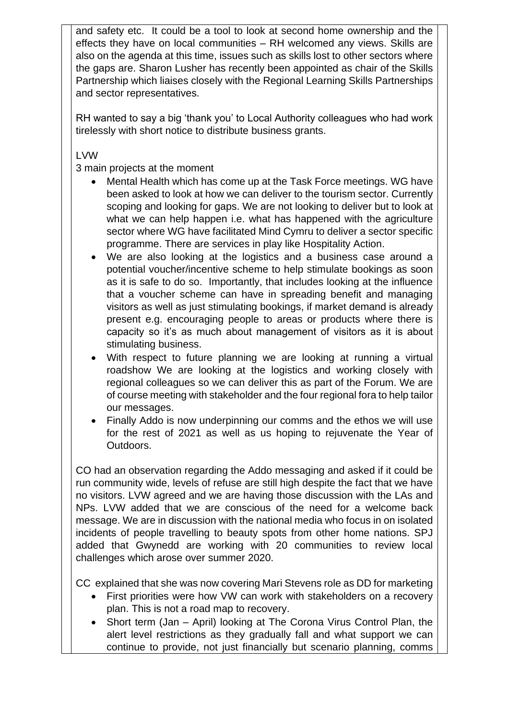and safety etc. It could be a tool to look at second home ownership and the effects they have on local communities – RH welcomed any views. Skills are also on the agenda at this time, issues such as skills lost to other sectors where the gaps are. Sharon Lusher has recently been appointed as chair of the Skills Partnership which liaises closely with the Regional Learning Skills Partnerships and sector representatives.

RH wanted to say a big 'thank you' to Local Authority colleagues who had work tirelessly with short notice to distribute business grants.

LVW

3 main projects at the moment

- Mental Health which has come up at the Task Force meetings. WG have been asked to look at how we can deliver to the tourism sector. Currently scoping and looking for gaps. We are not looking to deliver but to look at what we can help happen i.e. what has happened with the agriculture sector where WG have facilitated Mind Cymru to deliver a sector specific programme. There are services in play like Hospitality Action.
- We are also looking at the logistics and a business case around a potential voucher/incentive scheme to help stimulate bookings as soon as it is safe to do so. Importantly, that includes looking at the influence that a voucher scheme can have in spreading benefit and managing visitors as well as just stimulating bookings, if market demand is already present e.g. encouraging people to areas or products where there is capacity so it's as much about management of visitors as it is about stimulating business.
- With respect to future planning we are looking at running a virtual roadshow We are looking at the logistics and working closely with regional colleagues so we can deliver this as part of the Forum. We are of course meeting with stakeholder and the four regional fora to help tailor our messages.
- Finally Addo is now underpinning our comms and the ethos we will use for the rest of 2021 as well as us hoping to rejuvenate the Year of Outdoors.

CO had an observation regarding the Addo messaging and asked if it could be run community wide, levels of refuse are still high despite the fact that we have no visitors. LVW agreed and we are having those discussion with the LAs and NPs. LVW added that we are conscious of the need for a welcome back message. We are in discussion with the national media who focus in on isolated incidents of people travelling to beauty spots from other home nations. SPJ added that Gwynedd are working with 20 communities to review local challenges which arose over summer 2020.

CC explained that she was now covering Mari Stevens role as DD for marketing

- First priorities were how VW can work with stakeholders on a recovery plan. This is not a road map to recovery.
- Short term (Jan April) looking at The Corona Virus Control Plan, the alert level restrictions as they gradually fall and what support we can continue to provide, not just financially but scenario planning, comms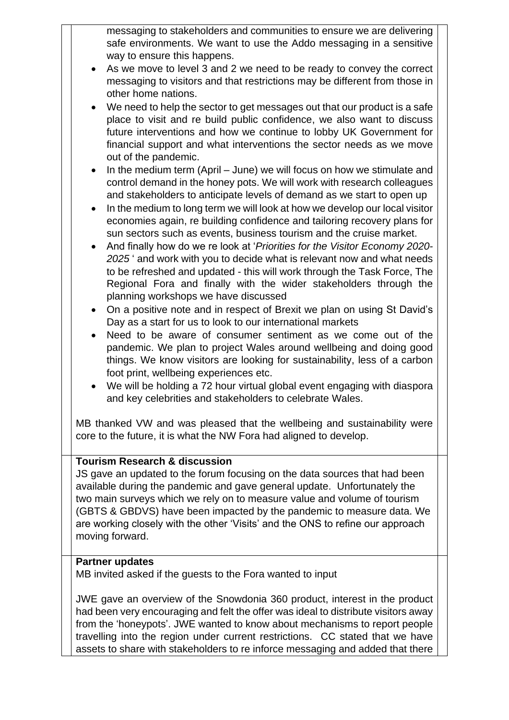messaging to stakeholders and communities to ensure we are delivering safe environments. We want to use the Addo messaging in a sensitive way to ensure this happens.

- As we move to level 3 and 2 we need to be ready to convey the correct messaging to visitors and that restrictions may be different from those in other home nations.
- We need to help the sector to get messages out that our product is a safe place to visit and re build public confidence, we also want to discuss future interventions and how we continue to lobby UK Government for financial support and what interventions the sector needs as we move out of the pandemic.
- $\bullet$  In the medium term (April June) we will focus on how we stimulate and control demand in the honey pots. We will work with research colleagues and stakeholders to anticipate levels of demand as we start to open up
- In the medium to long term we will look at how we develop our local visitor economies again, re building confidence and tailoring recovery plans for sun sectors such as events, business tourism and the cruise market.
- And finally how do we re look at '*Priorities for the Visitor Economy 2020- 2025* ' and work with you to decide what is relevant now and what needs to be refreshed and updated - this will work through the Task Force, The Regional Fora and finally with the wider stakeholders through the planning workshops we have discussed
- On a positive note and in respect of Brexit we plan on using St David's Day as a start for us to look to our international markets
- Need to be aware of consumer sentiment as we come out of the pandemic. We plan to project Wales around wellbeing and doing good things. We know visitors are looking for sustainability, less of a carbon foot print, wellbeing experiences etc.
- We will be holding a 72 hour virtual global event engaging with diaspora and key celebrities and stakeholders to celebrate Wales.

MB thanked VW and was pleased that the wellbeing and sustainability were core to the future, it is what the NW Fora had aligned to develop.

## **Tourism Research & discussion**

JS gave an updated to the forum focusing on the data sources that had been available during the pandemic and gave general update. Unfortunately the two main surveys which we rely on to measure value and volume of tourism (GBTS & GBDVS) have been impacted by the pandemic to measure data. We are working closely with the other 'Visits' and the ONS to refine our approach moving forward.

### **Partner updates**

MB invited asked if the guests to the Fora wanted to input

JWE gave an overview of the Snowdonia 360 product, interest in the product had been very encouraging and felt the offer was ideal to distribute visitors away from the 'honeypots'. JWE wanted to know about mechanisms to report people travelling into the region under current restrictions. CC stated that we have assets to share with stakeholders to re inforce messaging and added that there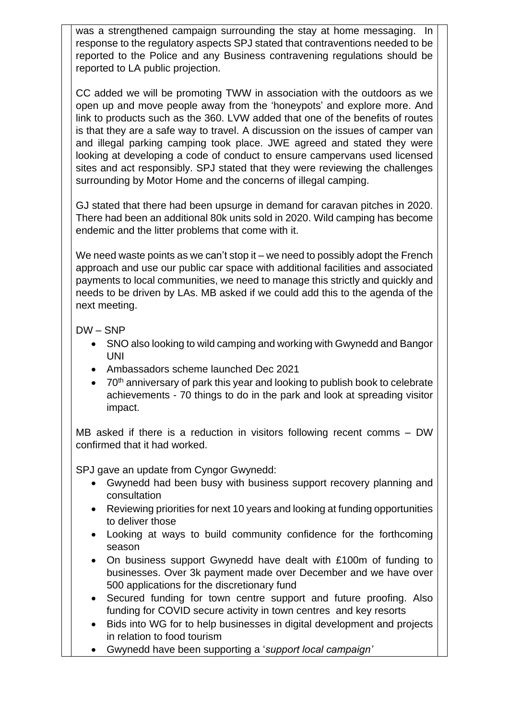was a strengthened campaign surrounding the stay at home messaging. In response to the regulatory aspects SPJ stated that contraventions needed to be reported to the Police and any Business contravening regulations should be reported to LA public projection.

CC added we will be promoting TWW in association with the outdoors as we open up and move people away from the 'honeypots' and explore more. And link to products such as the 360. LVW added that one of the benefits of routes is that they are a safe way to travel. A discussion on the issues of camper van and illegal parking camping took place. JWE agreed and stated they were looking at developing a code of conduct to ensure campervans used licensed sites and act responsibly. SPJ stated that they were reviewing the challenges surrounding by Motor Home and the concerns of illegal camping.

GJ stated that there had been upsurge in demand for caravan pitches in 2020. There had been an additional 80k units sold in 2020. Wild camping has become endemic and the litter problems that come with it.

We need waste points as we can't stop it – we need to possibly adopt the French approach and use our public car space with additional facilities and associated payments to local communities, we need to manage this strictly and quickly and needs to be driven by LAs. MB asked if we could add this to the agenda of the next meeting.

### DW – SNP

- SNO also looking to wild camping and working with Gwynedd and Bangor UNI
- Ambassadors scheme launched Dec 2021
- 70<sup>th</sup> anniversary of park this year and looking to publish book to celebrate achievements - 70 things to do in the park and look at spreading visitor impact.

MB asked if there is a reduction in visitors following recent comms – DW confirmed that it had worked.

SPJ gave an update from Cyngor Gwynedd:

- Gwynedd had been busy with business support recovery planning and consultation
- Reviewing priorities for next 10 years and looking at funding opportunities to deliver those
- Looking at ways to build community confidence for the forthcoming season
- On business support Gwynedd have dealt with £100m of funding to businesses. Over 3k payment made over December and we have over 500 applications for the discretionary fund
- Secured funding for town centre support and future proofing. Also funding for COVID secure activity in town centres and key resorts
- Bids into WG for to help businesses in digital development and projects in relation to food tourism
- Gwynedd have been supporting a '*support local campaign'*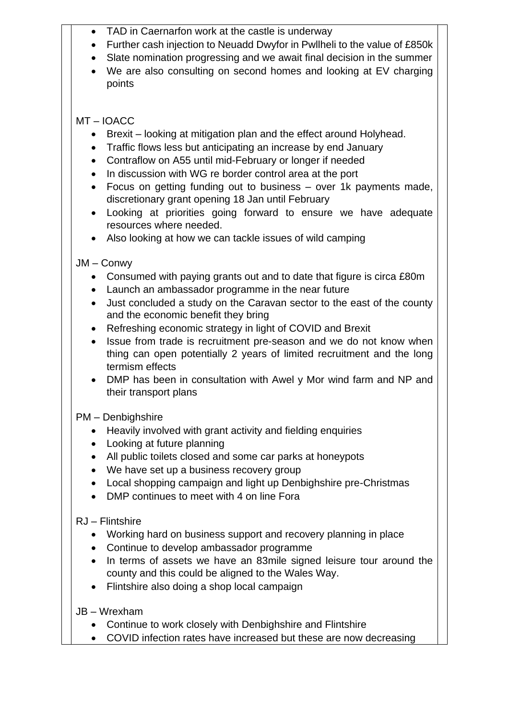- TAD in Caernarfon work at the castle is underway
- Further cash injection to Neuadd Dwyfor in Pwllheli to the value of £850k
- Slate nomination progressing and we await final decision in the summer
- We are also consulting on second homes and looking at EV charging points

# MT – IOACC

- Brexit looking at mitigation plan and the effect around Holyhead.
- Traffic flows less but anticipating an increase by end January
- Contraflow on A55 until mid-February or longer if needed
- In discussion with WG re border control area at the port
- Focus on getting funding out to business over 1k payments made, discretionary grant opening 18 Jan until February
- Looking at priorities going forward to ensure we have adequate resources where needed.
- Also looking at how we can tackle issues of wild camping

# JM – Conwy

- Consumed with paying grants out and to date that figure is circa £80m
- Launch an ambassador programme in the near future
- Just concluded a study on the Caravan sector to the east of the county and the economic benefit they bring
- Refreshing economic strategy in light of COVID and Brexit
- Issue from trade is recruitment pre-season and we do not know when thing can open potentially 2 years of limited recruitment and the long termism effects
- DMP has been in consultation with Awel y Mor wind farm and NP and their transport plans

## PM – Denbighshire

- Heavily involved with grant activity and fielding enquiries
- Looking at future planning
- All public toilets closed and some car parks at honeypots
- We have set up a business recovery group
- Local shopping campaign and light up Denbighshire pre-Christmas
- DMP continues to meet with 4 on line Fora

# RJ – Flintshire

- Working hard on business support and recovery planning in place
- Continue to develop ambassador programme
- In terms of assets we have an 83mile signed leisure tour around the county and this could be aligned to the Wales Way.
- Flintshire also doing a shop local campaign

## JB – Wrexham

- Continue to work closely with Denbighshire and Flintshire
- COVID infection rates have increased but these are now decreasing